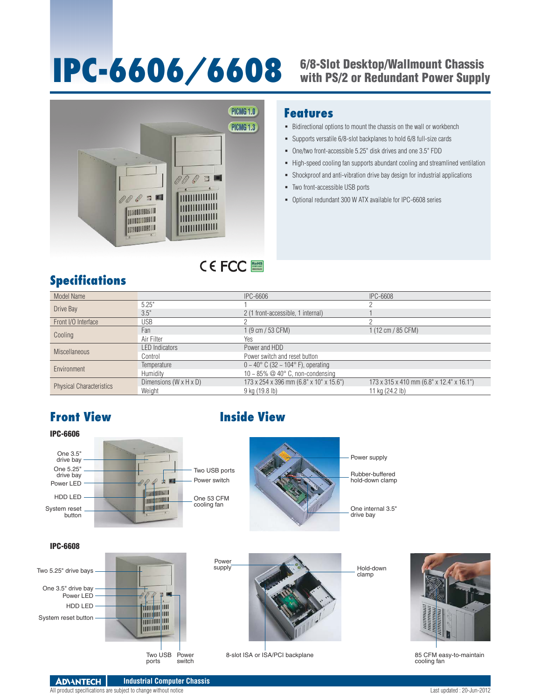# **IPC-6606/6608** 6/8-Slot Desktop/Wallmount Chassis<br>With PS/2 or Redundant Power Supply



## **Features**

- Bidirectional options to mount the chassis on the wall or workbench
- Supports versatile 6/8-slot backplanes to hold 6/8 full-size cards
- One/two front-accessible 5.25" disk drives and one 3.5" FDD
- High-speed cooling fan supports abundant cooling and streamlined ventilation
- Shockproof and anti-vibration drive bay design for industrial applications
- Two front-accessible USB ports
- Optional redundant 300 W ATX available for IPC-6608 series

# **Specifications**

| Model Name                      |                                    | IPC-6606                                                   | <b>IPC-6608</b>                           |  |
|---------------------------------|------------------------------------|------------------------------------------------------------|-------------------------------------------|--|
| Drive Bay                       | 5.25"                              |                                                            |                                           |  |
|                                 | 3.5"                               | 2 (1 front-accessible, 1 internal)                         |                                           |  |
| Front I/O Interface             | <b>USB</b>                         |                                                            |                                           |  |
| Cooling                         | Fan                                | $1(9 \text{ cm } 53 \text{ CFM})$                          | 1 (12 cm / 85 CFM)                        |  |
|                                 | Air Filter                         | <b>Yes</b>                                                 |                                           |  |
| <b>Miscellaneous</b>            | <b>LED</b> Indicators              | Power and HDD                                              |                                           |  |
|                                 | Control                            | Power switch and reset button                              |                                           |  |
| Environment                     | Temperature                        | $0 \sim 40^{\circ}$ C (32 $\sim 104^{\circ}$ F), operating |                                           |  |
|                                 | <b>Humidity</b>                    | 10 ~ 85% $@$ 40 $^{\circ}$ C, non-condensing               |                                           |  |
| <b>Physical Characteristics</b> | Dimensions $(W \times H \times D)$ | 173 x 254 x 396 mm (6.8" x 10" x 15.6")                    | 173 x 315 x 410 mm (6.8" x 12.4" x 16.1") |  |
|                                 | Weight                             | 9 kg (19.8 lb)                                             | 11 kg (24.2 lb)                           |  |

RoHS **COMPLIANT 2002/95/EC**

# **Front View Inside View**





85 CFM easy-to-maintain cooling fan

### IPC-6608



Power switch 8-slot ISA or ISA/PCI backplane

**ADVANTECH Industrial Computer Chassis** All product specifications are subject to change without notice Last updated : 20-Jun-2012